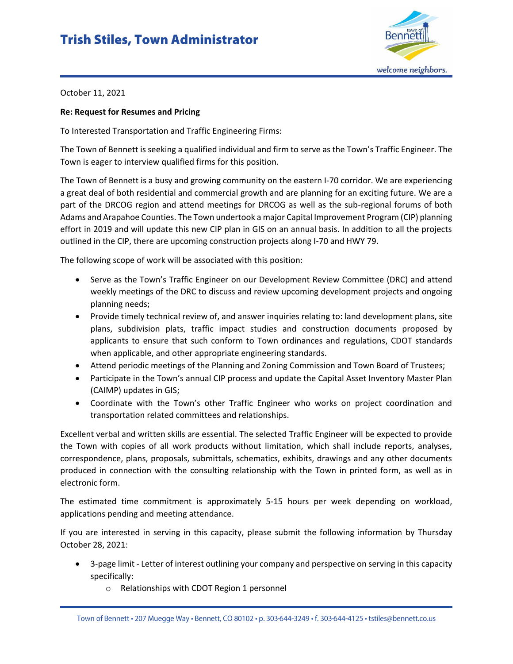## **Trish Stiles, Town Administrator**



October 11, 2021

## **Re: Request for Resumes and Pricing**

To Interested Transportation and Traffic Engineering Firms:

The Town of Bennett is seeking a qualified individual and firm to serve as the Town's Traffic Engineer. The Town is eager to interview qualified firms for this position.

The Town of Bennett is a busy and growing community on the eastern I-70 corridor. We are experiencing a great deal of both residential and commercial growth and are planning for an exciting future. We are a part of the DRCOG region and attend meetings for DRCOG as well as the sub-regional forums of both Adams and Arapahoe Counties. The Town undertook a major Capital Improvement Program (CIP) planning effort in 2019 and will update this new CIP plan in GIS on an annual basis. In addition to all the projects outlined in the CIP, there are upcoming construction projects along I-70 and HWY 79.

The following scope of work will be associated with this position:

- Serve as the Town's Traffic Engineer on our Development Review Committee (DRC) and attend weekly meetings of the DRC to discuss and review upcoming development projects and ongoing planning needs;
- Provide timely technical review of, and answer inquiries relating to: land development plans, site plans, subdivision plats, traffic impact studies and construction documents proposed by applicants to ensure that such conform to Town ordinances and regulations, CDOT standards when applicable, and other appropriate engineering standards.
- Attend periodic meetings of the Planning and Zoning Commission and Town Board of Trustees;
- Participate in the Town's annual CIP process and update the Capital Asset Inventory Master Plan (CAIMP) updates in GIS;
- Coordinate with the Town's other Traffic Engineer who works on project coordination and transportation related committees and relationships.

Excellent verbal and written skills are essential. The selected Traffic Engineer will be expected to provide the Town with copies of all work products without limitation, which shall include reports, analyses, correspondence, plans, proposals, submittals, schematics, exhibits, drawings and any other documents produced in connection with the consulting relationship with the Town in printed form, as well as in electronic form.

The estimated time commitment is approximately 5-15 hours per week depending on workload, applications pending and meeting attendance.

If you are interested in serving in this capacity, please submit the following information by Thursday October 28, 2021:

- 3-page limit Letter of interest outlining your company and perspective on serving in this capacity specifically:
	- o Relationships with CDOT Region 1 personnel